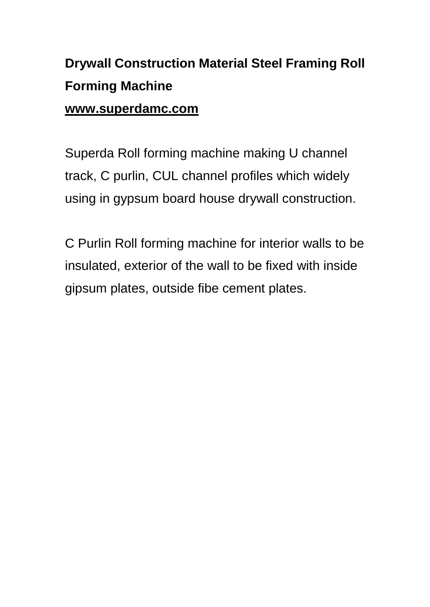## **Drywall Construction Material Steel Framing Roll Forming Machine www.superdamc.com**

Superda Roll forming machine making U channel track, C purlin, CUL channel profiles which widely using in gypsum board house drywall construction.

[C Purlin Roll forming machine](https://www.superdamc.com/channel-roll-forming-machine/) for interior walls to be insulated, exterior of the wall to be fixed with inside gipsum plates, outside fibe cement plates.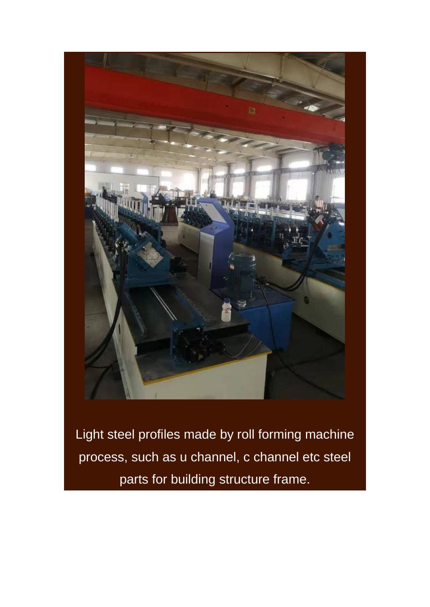

Light steel profiles made by roll forming machine process, such as u channel, c channel etc steel parts for building structure frame.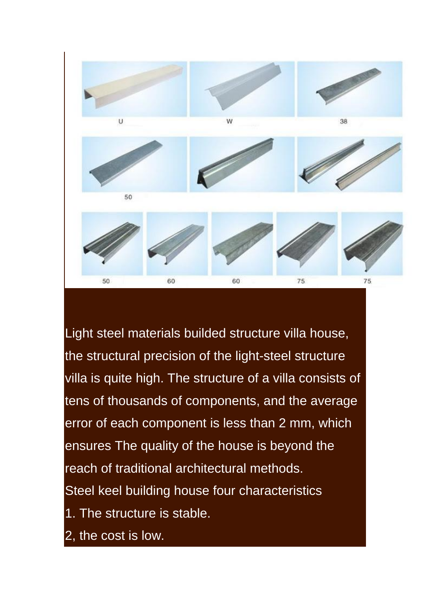

Light steel materials builded structure villa house, the structural precision of the light-steel structure villa is quite high. The structure of a villa consists of tens of thousands of components, and the average error of each component is less than 2 mm, which ensures The quality of the house is beyond the reach of traditional architectural methods. Steel keel building house four characteristics 1. The structure is stable. 2, the cost is low.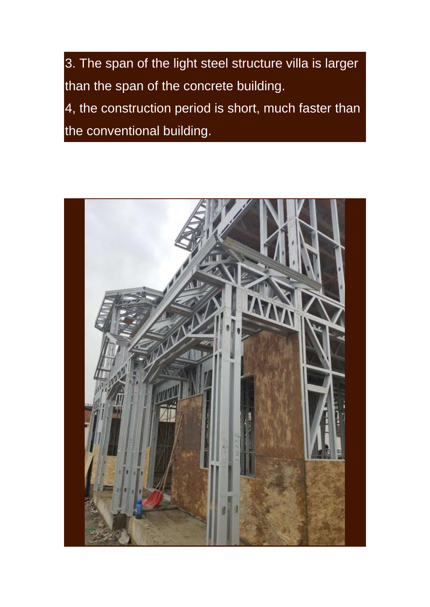3. The span of the light steel structure villa is larger than the span of the concrete building.

4, the construction period is short, much faster than the conventional building.

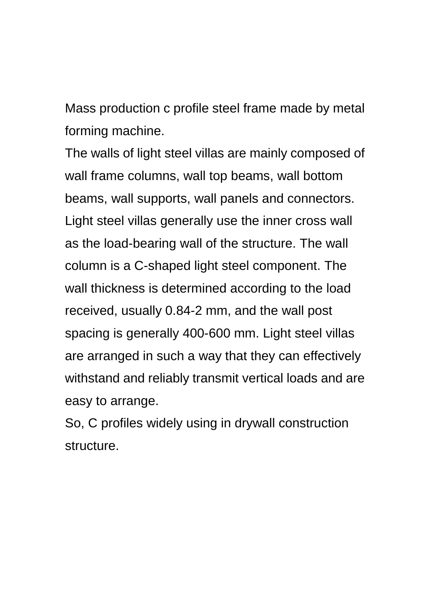Mass production c profile steel frame made by metal forming machine.

The walls of light steel villas are mainly composed of wall frame columns, wall top beams, wall bottom beams, wall supports, wall panels and connectors. Light steel villas generally use the inner cross wall as the load-bearing wall of the structure. The wall column is a C-shaped light steel component. The wall thickness is determined according to the load received, usually 0.84-2 mm, and the wall post spacing is generally 400-600 mm. Light steel villas are arranged in such a way that they can effectively withstand and reliably transmit vertical loads and are easy to arrange.

So, C profiles widely using in drywall construction structure.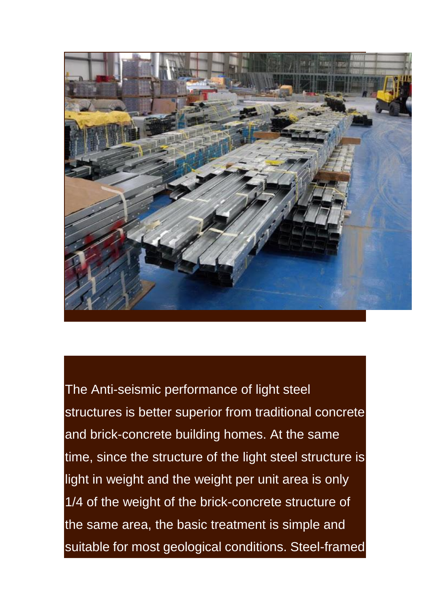

The Anti-seismic performance of light steel structures is better superior from traditional concrete and brick-concrete building homes. At the same time, since the structure of the light steel structure is light in weight and the weight per unit area is only 1/4 of the weight of the brick-concrete structure of the same area, the basic treatment is simple and suitable for most geological conditions. Steel-framed